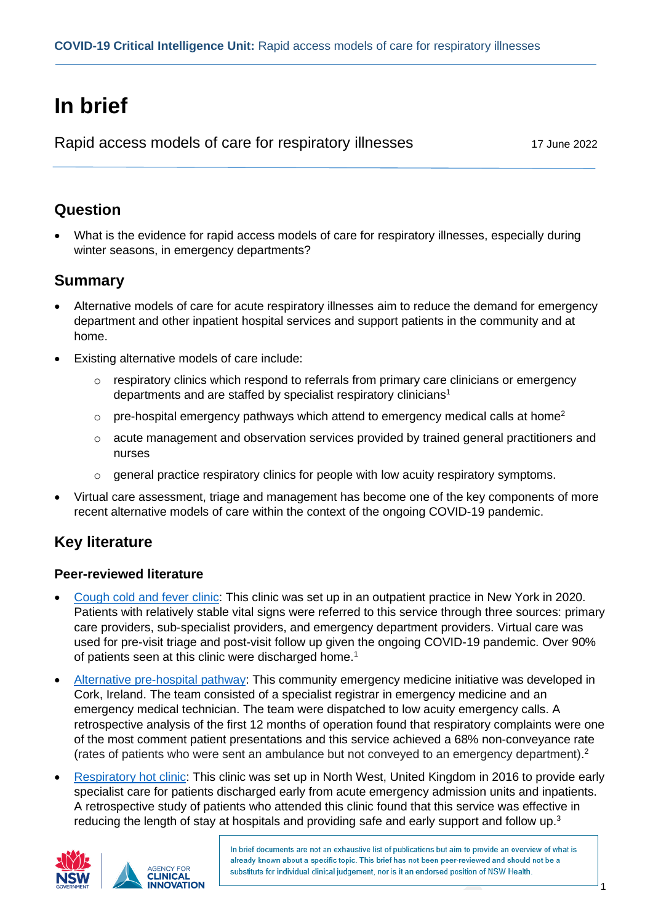# **In brief**

Rapid access models of care for respiratory illnesses 17 June 2022

### **Question**

• What is the evidence for rapid access models of care for respiratory illnesses, especially during winter seasons, in emergency departments?

### **Summary**

- Alternative models of care for acute respiratory illnesses aim to reduce the demand for emergency department and other inpatient hospital services and support patients in the community and at home.
- Existing alternative models of care include:
	- $\circ$  respiratory clinics which respond to referrals from primary care clinicians or emergency departments and are staffed by specialist respiratory clinicians<sup>1</sup>
	- $\circ$  pre-hospital emergency pathways which attend to emergency medical calls at home<sup>2</sup>
	- $\circ$  acute management and observation services provided by trained general practitioners and nurses
	- $\circ$  general practice respiratory clinics for people with low acuity respiratory symptoms.
- Virtual care assessment, triage and management has become one of the key components of more recent alternative models of care within the context of the ongoing COVID-19 pandemic.

## **Key literature**

### **Peer-reviewed literature**

- [Cough cold and fever clinic:](https://pubmed.ncbi.nlm.nih.gov/34310547/) This clinic was set up in an outpatient practice in New York in 2020. Patients with relatively stable vital signs were referred to this service through three sources: primary care providers, sub-specialist providers, and emergency department providers. Virtual care was used for pre-visit triage and post-visit follow up given the ongoing COVID-19 pandemic. Over 90% of patients seen at this clinic were discharged home.<sup>1</sup>
- [Alternative pre-hospital pathway:](https://pubmed.ncbi.nlm.nih.gov/34794391/) This community emergency medicine initiative was developed in Cork, Ireland. The team consisted of a specialist registrar in emergency medicine and an emergency medical technician. The team were dispatched to low acuity emergency calls. A retrospective analysis of the first 12 months of operation found that respiratory complaints were one of the most comment patient presentations and this service achieved a 68% non-conveyance rate (rates of patients who were sent an ambulance but not conveyed to an emergency department).<sup>2</sup>
- [Respiratory hot clinic:](https://erj.ersjournals.com/content/52/suppl_62/PA4101) This clinic was set up in North West, United Kingdom in 2016 to provide early specialist care for patients discharged early from acute emergency admission units and inpatients. A retrospective study of patients who attended this clinic found that this service was effective in reducing the length of stay at hospitals and providing safe and early support and follow up. $3$



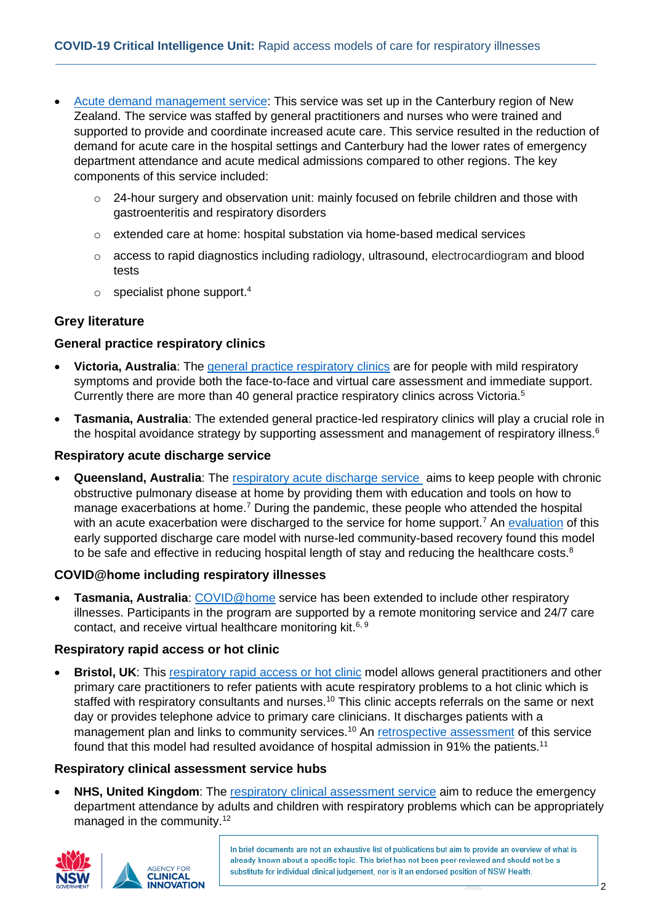- [Acute demand management service:](https://www.ncbi.nlm.nih.gov/pmc/articles/PMC6842657/) This service was set up in the Canterbury region of New Zealand. The service was staffed by general practitioners and nurses who were trained and supported to provide and coordinate increased acute care. This service resulted in the reduction of demand for acute care in the hospital settings and Canterbury had the lower rates of emergency department attendance and acute medical admissions compared to other regions. The key components of this service included:
	- o 24-hour surgery and observation unit: mainly focused on febrile children and those with gastroenteritis and respiratory disorders
	- o extended care at home: hospital substation via home-based medical services
	- $\circ$  access to rapid diagnostics including radiology, ultrasound, electrocardiogram and blood tests
	- $\circ$  specialist phone support.<sup>4</sup>

#### **Grey literature**

#### **General practice respiratory clinics**

- **Victoria, Australia**: The general practice [respiratory clinics](https://www.health.vic.gov.au/covid-19/gp-respiratory-clinics-and-hospital-respiratory-clinics-covid-19) are for people with mild respiratory symptoms and provide both the face-to-face and virtual care assessment and immediate support. Currently there are more than 40 general practice respiratory clinics across Victoria.<sup>5</sup>
- **Tasmania, Australia**: The extended general practice-led respiratory clinics will play a crucial role in the hospital avoidance strategy by supporting assessment and management of respiratory illness.<sup>6</sup>

#### **Respiratory acute discharge service**

• **Queensland, Australia**: The [respiratory acute discharge service](https://clinicalexcellence.qld.gov.au/improvement-exchange/respiratory-acute-discharge-rads-during-covid) aims to keep people with chronic obstructive pulmonary disease at home by providing them with education and tools on how to manage exacerbations at home.<sup>7</sup> During the pandemic, these people who attended the hospital with an acute exacerbation were discharged to the service for home support.<sup>7</sup> An [evaluation](https://pubmed.ncbi.nlm.nih.gov/31589356/) of this early supported discharge care model with nurse-led community-based recovery found this model to be safe and effective in reducing hospital length of stay and reducing the healthcare costs.<sup>8</sup>

#### **COVID@home including respiratory illnesses**

• **Tasmania, Australia**: [COVID@home](https://www.coronavirus.tas.gov.au/families-community/covidathomeplus) service has been extended to include other respiratory illnesses. Participants in the program are supported by a remote monitoring service and 24/7 care contact, and receive virtual healthcare monitoring kit.<sup>6, 9</sup>

#### **Respiratory rapid access or hot clinic**

• **Bristol, UK:** This [respiratory rapid access](https://gettingitrightfirsttime.co.uk/wp-content/uploads/2019/12/Getting-it-right-in-emergency-care-Aug18.pdf) or hot clinic model allows general practitioners and other primary care practitioners to refer patients with acute respiratory problems to a hot clinic which is staffed with respiratory consultants and nurses.<sup>10</sup> This clinic accepts referrals on the same or next day or provides telephone advice to primary care clinicians. It discharges patients with a management plan and links to community services.<sup>10</sup> An [retrospective assessment](https://thorax.bmj.com/content/63/Suppl_7/A12) of this service found that this model had resulted avoidance of hospital admission in 91% the patients.<sup>11</sup>

#### **Respiratory clinical assessment service hubs**

**NHS, United Kingdom:** The [respiratory clinical assessment service](https://www.england.nhs.uk/wp-content/uploads/2021/12/BW903-combined-adult-and-paediatric-respiratory-clinical-assessment-service-hubs-for-acute-respiratory-infecti.pdf) aim to reduce the emergency department attendance by adults and children with respiratory problems which can be appropriately managed in the community.<sup>12</sup>



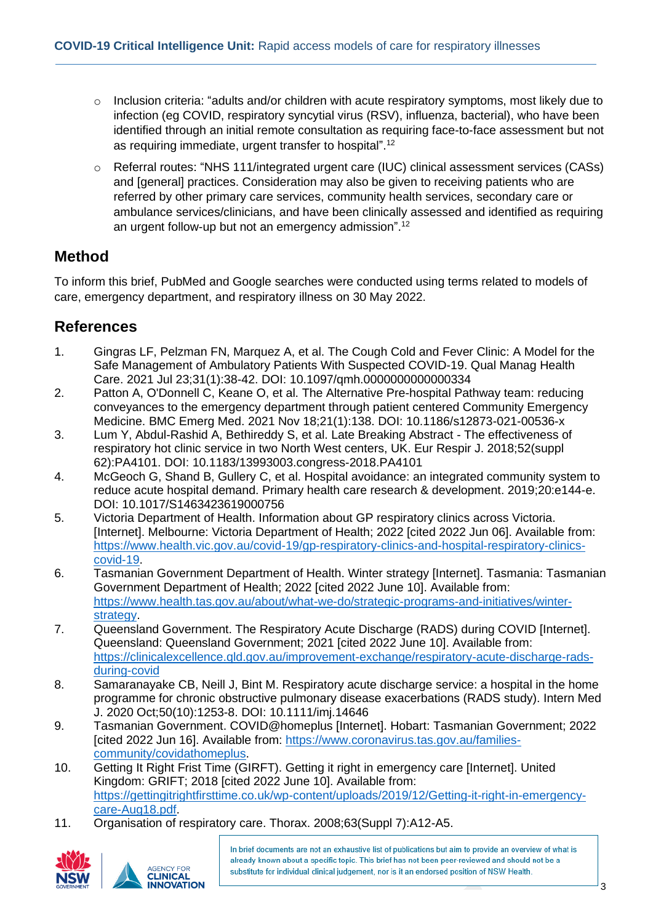- o Inclusion criteria: "adults and/or children with acute respiratory symptoms, most likely due to infection (eg COVID, respiratory syncytial virus (RSV), influenza, bacterial), who have been identified through an initial remote consultation as requiring face-to-face assessment but not as requiring immediate, urgent transfer to hospital".<sup>12</sup>
- o Referral routes: "NHS 111/integrated urgent care (IUC) clinical assessment services (CASs) and [general] practices. Consideration may also be given to receiving patients who are referred by other primary care services, community health services, secondary care or ambulance services/clinicians, and have been clinically assessed and identified as requiring an urgent follow-up but not an emergency admission".<sup>12</sup>

### **Method**

To inform this brief, PubMed and Google searches were conducted using terms related to models of care, emergency department, and respiratory illness on 30 May 2022.

### **References**

- 1. Gingras LF, Pelzman FN, Marquez A, et al. The Cough Cold and Fever Clinic: A Model for the Safe Management of Ambulatory Patients With Suspected COVID-19. Qual Manag Health Care. 2021 Jul 23;31(1):38-42. DOI: 10.1097/qmh.0000000000000334
- 2. Patton A, O'Donnell C, Keane O, et al. The Alternative Pre-hospital Pathway team: reducing conveyances to the emergency department through patient centered Community Emergency Medicine. BMC Emerg Med. 2021 Nov 18;21(1):138. DOI: 10.1186/s12873-021-00536-x
- 3. Lum Y, Abdul-Rashid A, Bethireddy S, et al. Late Breaking Abstract The effectiveness of respiratory hot clinic service in two North West centers, UK. Eur Respir J. 2018;52(suppl 62):PA4101. DOI: 10.1183/13993003.congress-2018.PA4101
- 4. McGeoch G, Shand B, Gullery C, et al. Hospital avoidance: an integrated community system to reduce acute hospital demand. Primary health care research & development. 2019;20:e144-e. DOI: 10.1017/S1463423619000756
- 5. Victoria Department of Health. Information about GP respiratory clinics across Victoria. [Internet]. Melbourne: Victoria Department of Health; 2022 [cited 2022 Jun 06]. Available from: [https://www.health.vic.gov.au/covid-19/gp-respiratory-clinics-and-hospital-respiratory-clinics](https://www.health.vic.gov.au/covid-19/gp-respiratory-clinics-and-hospital-respiratory-clinics-covid-19)[covid-19.](https://www.health.vic.gov.au/covid-19/gp-respiratory-clinics-and-hospital-respiratory-clinics-covid-19)
- 6. Tasmanian Government Department of Health. Winter strategy [Internet]. Tasmania: Tasmanian Government Department of Health; 2022 [cited 2022 June 10]. Available from: [https://www.health.tas.gov.au/about/what-we-do/strategic-programs-and-initiatives/winter](https://www.health.tas.gov.au/about/what-we-do/strategic-programs-and-initiatives/winter-strategy)[strategy.](https://www.health.tas.gov.au/about/what-we-do/strategic-programs-and-initiatives/winter-strategy)
- 7. Queensland Government. The Respiratory Acute Discharge (RADS) during COVID [Internet]. Queensland: Queensland Government; 2021 [cited 2022 June 10]. Available from: [https://clinicalexcellence.qld.gov.au/improvement-exchange/respiratory-acute-discharge-rads](https://clinicalexcellence.qld.gov.au/improvement-exchange/respiratory-acute-discharge-rads-during-covid)[during-covid](https://clinicalexcellence.qld.gov.au/improvement-exchange/respiratory-acute-discharge-rads-during-covid)
- 8. Samaranayake CB, Neill J, Bint M. Respiratory acute discharge service: a hospital in the home programme for chronic obstructive pulmonary disease exacerbations (RADS study). Intern Med J. 2020 Oct;50(10):1253-8. DOI: 10.1111/imj.14646
- 9. Tasmanian Government. COVID@homeplus [Internet]. Hobart: Tasmanian Government; 2022 [cited 2022 Jun 16]. Available from: [https://www.coronavirus.tas.gov.au/families](https://www.coronavirus.tas.gov.au/families-community/covidathomeplus)[community/covidathomeplus.](https://www.coronavirus.tas.gov.au/families-community/covidathomeplus)
- 10. Getting It Right Frist Time (GIRFT). Getting it right in emergency care [Internet]. United Kingdom: GRIFT; 2018 [cited 2022 June 10]. Available from: [https://gettingitrightfirsttime.co.uk/wp-content/uploads/2019/12/Getting-it-right-in-emergency](https://gettingitrightfirsttime.co.uk/wp-content/uploads/2019/12/Getting-it-right-in-emergency-care-Aug18.pdf)[care-Aug18.pdf.](https://gettingitrightfirsttime.co.uk/wp-content/uploads/2019/12/Getting-it-right-in-emergency-care-Aug18.pdf)
- 11. Organisation of respiratory care. Thorax. 2008;63(Suppl 7):A12-A5.